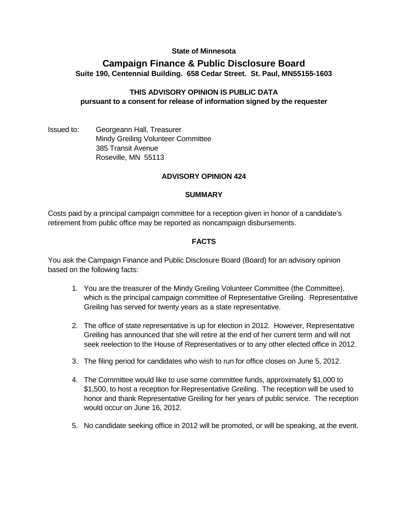## **State of Minnesota**

# **Campaign Finance & Public Disclosure Board Suite 190, Centennial Building. 658 Cedar Street. St. Paul, MN55155-1603**

## **THIS ADVISORY OPINION IS PUBLIC DATA pursuant to a consent for release of information signed by the requester**

Issued to: Georgeann Hall, Treasurer Mindy Greiling Volunteer Committee 385 Transit Avenue Roseville, MN 55113

## **ADVISORY OPINION 424**

#### **SUMMARY**

Costs paid by a principal campaign committee for a reception given in honor of a candidate's retirement from public office may be reported as noncampaign disbursements.

#### **FACTS**

You ask the Campaign Finance and Public Disclosure Board (Board) for an advisory opinion based on the following facts:

- 1. You are the treasurer of the Mindy Greiling Volunteer Committee (the Committee), which is the principal campaign committee of Representative Greiling. Representative Greiling has served for twenty years as a state representative.
- 2. The office of state representative is up for election in 2012. However, Representative Greiling has announced that she will retire at the end of her current term and will not seek reelection to the House of Representatives or to any other elected office in 2012.
- 3. The filing period for candidates who wish to run for office closes on June 5, 2012.
- 4. The Committee would like to use some committee funds, approximately \$1,000 to \$1,500, to host a reception for Representative Greiling. The reception will be used to honor and thank Representative Greiling for her years of public service. The reception would occur on June 16, 2012.
- 5. No candidate seeking office in 2012 will be promoted, or will be speaking, at the event.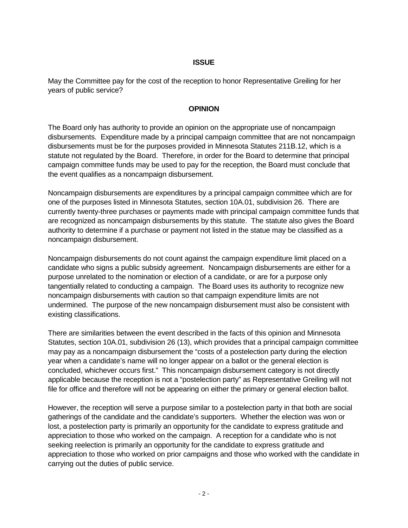## **ISSUE**

May the Committee pay for the cost of the reception to honor Representative Greiling for her years of public service?

## **OPINION**

The Board only has authority to provide an opinion on the appropriate use of noncampaign disbursements. Expenditure made by a principal campaign committee that are not noncampaign disbursements must be for the purposes provided in Minnesota Statutes 211B.12, which is a statute not regulated by the Board. Therefore, in order for the Board to determine that principal campaign committee funds may be used to pay for the reception, the Board must conclude that the event qualifies as a noncampaign disbursement.

Noncampaign disbursements are expenditures by a principal campaign committee which are for one of the purposes listed in Minnesota Statutes, section 10A.01, subdivision 26. There are currently twenty-three purchases or payments made with principal campaign committee funds that are recognized as noncampaign disbursements by this statute. The statute also gives the Board authority to determine if a purchase or payment not listed in the statue may be classified as a noncampaign disbursement.

Noncampaign disbursements do not count against the campaign expenditure limit placed on a candidate who signs a public subsidy agreement. Noncampaign disbursements are either for a purpose unrelated to the nomination or election of a candidate, or are for a purpose only tangentially related to conducting a campaign. The Board uses its authority to recognize new noncampaign disbursements with caution so that campaign expenditure limits are not undermined. The purpose of the new noncampaign disbursement must also be consistent with existing classifications.

There are similarities between the event described in the facts of this opinion and Minnesota Statutes, section 10A.01, subdivision 26 (13), which provides that a principal campaign committee may pay as a noncampaign disbursement the "costs of a postelection party during the election year when a candidate's name will no longer appear on a ballot or the general election is concluded, whichever occurs first." This noncampaign disbursement category is not directly applicable because the reception is not a "postelection party" as Representative Greiling will not file for office and therefore will not be appearing on either the primary or general election ballot.

However, the reception will serve a purpose similar to a postelection party in that both are social gatherings of the candidate and the candidate's supporters. Whether the election was won or lost, a postelection party is primarily an opportunity for the candidate to express gratitude and appreciation to those who worked on the campaign. A reception for a candidate who is not seeking reelection is primarily an opportunity for the candidate to express gratitude and appreciation to those who worked on prior campaigns and those who worked with the candidate in carrying out the duties of public service.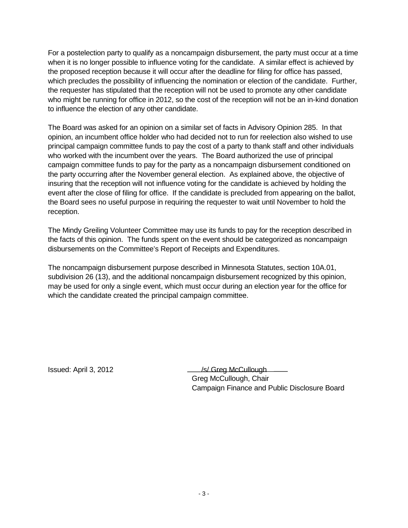For a postelection party to qualify as a noncampaign disbursement, the party must occur at a time when it is no longer possible to influence voting for the candidate. A similar effect is achieved by the proposed reception because it will occur after the deadline for filing for office has passed, which precludes the possibility of influencing the nomination or election of the candidate. Further, the requester has stipulated that the reception will not be used to promote any other candidate who might be running for office in 2012, so the cost of the reception will not be an in-kind donation to influence the election of any other candidate.

The Board was asked for an opinion on a similar set of facts in Advisory Opinion 285. In that opinion, an incumbent office holder who had decided not to run for reelection also wished to use principal campaign committee funds to pay the cost of a party to thank staff and other individuals who worked with the incumbent over the years. The Board authorized the use of principal campaign committee funds to pay for the party as a noncampaign disbursement conditioned on the party occurring after the November general election. As explained above, the objective of insuring that the reception will not influence voting for the candidate is achieved by holding the event after the close of filing for office. If the candidate is precluded from appearing on the ballot, the Board sees no useful purpose in requiring the requester to wait until November to hold the reception.

The Mindy Greiling Volunteer Committee may use its funds to pay for the reception described in the facts of this opinion. The funds spent on the event should be categorized as noncampaign disbursements on the Committee's Report of Receipts and Expenditures.

The noncampaign disbursement purpose described in Minnesota Statutes, section 10A.01, subdivision 26 (13), and the additional noncampaign disbursement recognized by this opinion, may be used for only a single event, which must occur during an election year for the office for which the candidate created the principal campaign committee.

Issued: April 3, 2012 **/s/ Greg McCullough** Greg McCullough, Chair Campaign Finance and Public Disclosure Board